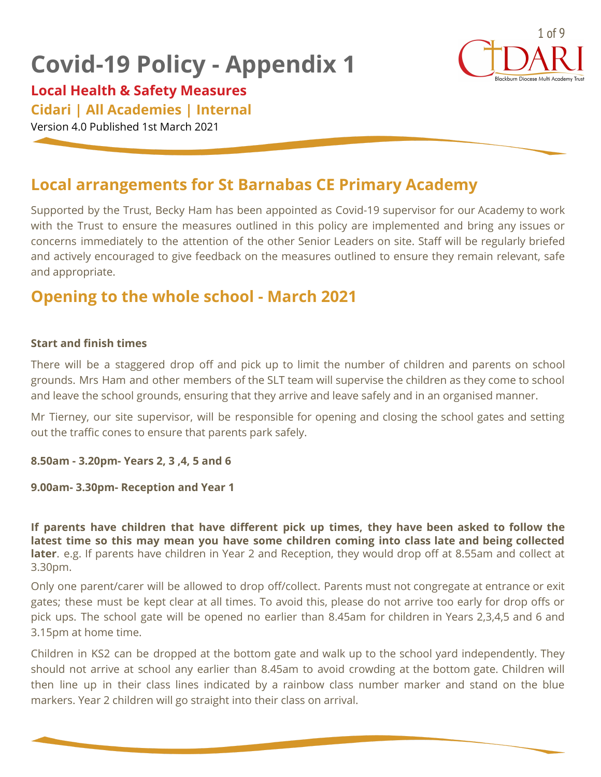# **Covid-19 Policy - Appendix 1**



## **Local Health & Safety Measures**

## **Cidari | All Academies | Internal**

Version 4.0 Published 1st March 2021

# **Local arrangements for St Barnabas CE Primary Academy**

Supported by the Trust, Becky Ham has been appointed as Covid-19 supervisor for our Academy to work with the Trust to ensure the measures outlined in this policy are implemented and bring any issues or concerns immediately to the attention of the other Senior Leaders on site. Staff will be regularly briefed and actively encouraged to give feedback on the measures outlined to ensure they remain relevant, safe and appropriate.

# **Opening to the whole school - March 2021**

#### **Start and finish times**

There will be a staggered drop off and pick up to limit the number of children and parents on school grounds. Mrs Ham and other members of the SLT team will supervise the children as they come to school and leave the school grounds, ensuring that they arrive and leave safely and in an organised manner.

Mr Tierney, our site supervisor, will be responsible for opening and closing the school gates and setting out the traffic cones to ensure that parents park safely.

**8.50am - 3.20pm- Years 2, 3 ,4, 5 and 6**

#### **9.00am- 3.30pm- Reception and Year 1**

**If parents have children that have different pick up times, they have been asked to follow the latest time so this may mean you have some children coming into class late and being collected later**. e.g. If parents have children in Year 2 and Reception, they would drop off at 8.55am and collect at 3.30pm.

Only one parent/carer will be allowed to drop off/collect. Parents must not congregate at entrance or exit gates; these must be kept clear at all times. To avoid this, please do not arrive too early for drop offs or pick ups. The school gate will be opened no earlier than 8.45am for children in Years 2,3,4,5 and 6 and 3.15pm at home time.

Children in KS2 can be dropped at the bottom gate and walk up to the school yard independently. They should not arrive at school any earlier than 8.45am to avoid crowding at the bottom gate. Children will then line up in their class lines indicated by a rainbow class number marker and stand on the blue markers. Year 2 children will go straight into their class on arrival.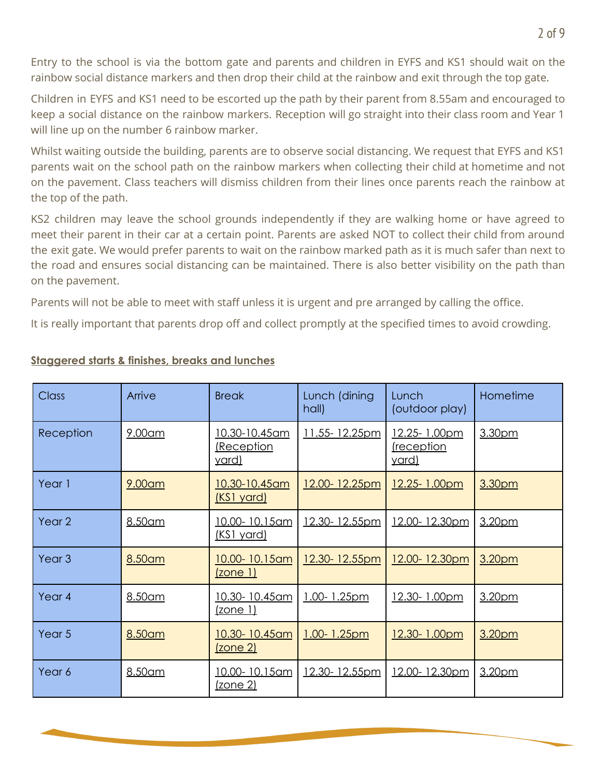Entry to the school is via the bottom gate and parents and children in EYFS and KS1 should wait on the rainbow social distance markers and then drop their child at the rainbow and exit through the top gate.

Children in EYFS and KS1 need to be escorted up the path by their parent from 8.55am and encouraged to keep a social distance on the rainbow markers. Reception will go straight into their class room and Year 1 will line up on the number 6 rainbow marker.

Whilst waiting outside the building, parents are to observe social distancing. We request that EYFS and KS1 parents wait on the school path on the rainbow markers when collecting their child at hometime and not on the pavement. Class teachers will dismiss children from their lines once parents reach the rainbow at the top of the path.

KS2 children may leave the school grounds independently if they are walking home or have agreed to meet their parent in their car at a certain point. Parents are asked NOT to collect their child from around the exit gate. We would prefer parents to wait on the rainbow marked path as it is much safer than next to the road and ensures social distancing can be maintained. There is also better visibility on the path than on the pavement.

Parents will not be able to meet with staff unless it is urgent and pre arranged by calling the office.

It is really important that parents drop off and collect promptly at the specified times to avoid crowding.

| Class             | Arrive  | <b>Break</b>                                      | Lunch (dining<br>hall) | Lunch<br>(outdoor play)                   | Hometime |
|-------------------|---------|---------------------------------------------------|------------------------|-------------------------------------------|----------|
| Reception         | 9.00am  | <u>10.30-10.45am</u><br>Reception<br><u>yard)</u> | 11.55-12.25pm          | 12.25-1.00pm<br>reception<br><u>vard)</u> | 3.30pm   |
| Year 1            | 9.00am  | 10.30-10.45am<br><u>(KS1 yard)</u>                | 12.00-12.25pm          | 12.25-1.00pm                              | 3.30pm   |
| Year <sub>2</sub> | 8.50am  | 10.00-10.15am<br><u>(KS1 yard)</u>                | 12.30-12.55pm          | 12.00-12.30pm                             | 3.20pm   |
| Year <sub>3</sub> | 8.50am  | 10.00-10.15am<br>(zone 1)                         | 12.30-12.55pm          | 12.00-12.30pm                             | 3.20pm   |
| Year <sub>4</sub> | 8.50am  | 10.30-10.45am<br><u>(zone 1)</u>                  | 1.00-1.25pm            | 12.30-1.00pm                              | 3.20pm   |
| Year 5            | 8.50am  | 10.30-10.45am<br>(zone 2)                         | 1.00-1.25pm            | 12.30-1.00pm                              | 3.20pm   |
| Year 6            | 8.50 am | 10.00-10.15am<br><u>(zone 2)</u>                  | 12.30-12.55pm          | 12.00-12.30pm                             | 3.20pm   |

### **Staggered starts & finishes, breaks and lunches**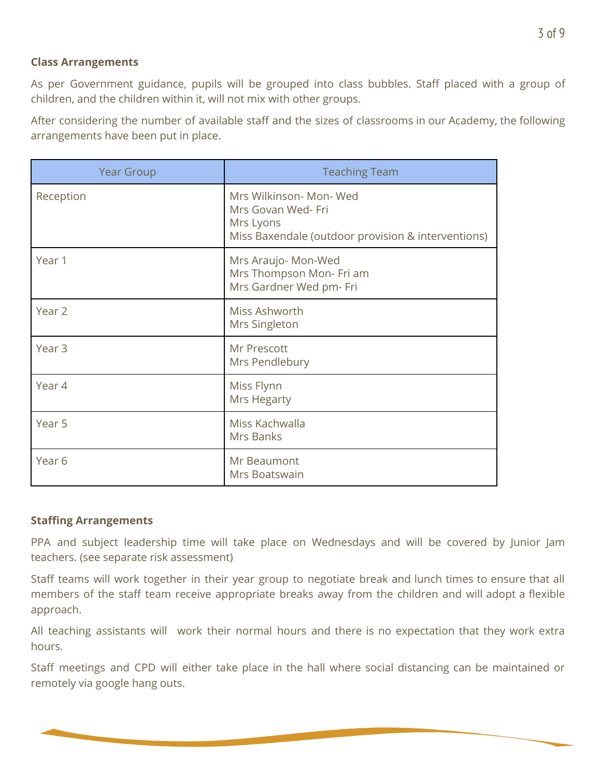#### **Class Arrangements**

As per Government guidance, pupils will be grouped into class bubbles. Staff placed with a group of children, and the children within it, will not mix with other groups.

After considering the number of available staff and the sizes of classrooms in our Academy, the following arrangements have been put in place.

| <b>Year Group</b> | <b>Teaching Team</b>                                                                                             |
|-------------------|------------------------------------------------------------------------------------------------------------------|
| Reception         | Mrs Wilkinson- Mon- Wed<br>Mrs Govan Wed- Fri<br>Mrs Lyons<br>Miss Baxendale (outdoor provision & interventions) |
| Year 1            | Mrs Araujo- Mon-Wed<br>Mrs Thompson Mon- Fri am<br>Mrs Gardner Wed pm- Fri                                       |
| Year 2            | Miss Ashworth<br>Mrs Singleton                                                                                   |
| Year <sub>3</sub> | Mr Prescott<br>Mrs Pendlebury                                                                                    |
| Year 4            | Miss Flynn<br><b>Mrs Hegarty</b>                                                                                 |
| Year 5            | Miss Kachwalla<br>Mrs Banks                                                                                      |
| Year <sub>6</sub> | Mr Beaumont<br>Mrs Boatswain                                                                                     |

#### **Staffing Arrangements**

PPA and subject leadership time will take place on Wednesdays and will be covered by Junior Jam teachers. (see separate risk assessment)

Staff teams will work together in their year group to negotiate break and lunch times to ensure that all members of the staff team receive appropriate breaks away from the children and will adopt a flexible approach.

All teaching assistants will work their normal hours and there is no expectation that they work extra hours.

Staff meetings and CPD will either take place in the hall where social distancing can be maintained or remotely via google hang outs.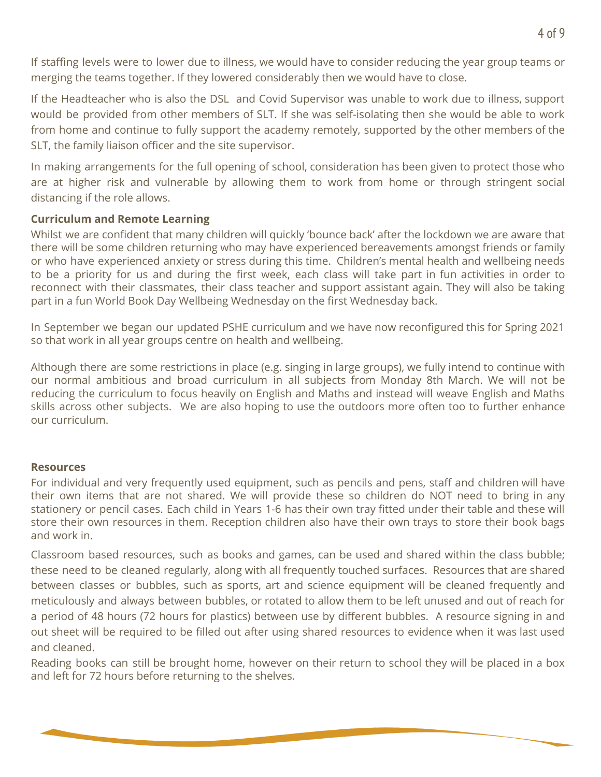If staffing levels were to lower due to illness, we would have to consider reducing the year group teams or merging the teams together. If they lowered considerably then we would have to close.

If the Headteacher who is also the DSL and Covid Supervisor was unable to work due to illness, support would be provided from other members of SLT. If she was self-isolating then she would be able to work from home and continue to fully support the academy remotely, supported by the other members of the SLT, the family liaison officer and the site supervisor.

In making arrangements for the full opening of school, consideration has been given to protect those who are at higher risk and vulnerable by allowing them to work from home or through stringent social distancing if the role allows.

#### **Curriculum and Remote Learning**

Whilst we are confident that many children will quickly 'bounce back' after the lockdown we are aware that there will be some children returning who may have experienced bereavements amongst friends or family or who have experienced anxiety or stress during this time. Children's mental health and wellbeing needs to be a priority for us and during the first week, each class will take part in fun activities in order to reconnect with their classmates, their class teacher and support assistant again. They will also be taking part in a fun World Book Day Wellbeing Wednesday on the first Wednesday back.

In September we began our updated PSHE curriculum and we have now reconfigured this for Spring 2021 so that work in all year groups centre on health and wellbeing.

Although there are some restrictions in place (e.g. singing in large groups), we fully intend to continue with our normal ambitious and broad curriculum in all subjects from Monday 8th March. We will not be reducing the curriculum to focus heavily on English and Maths and instead will weave English and Maths skills across other subjects. We are also hoping to use the outdoors more often too to further enhance our curriculum.

#### **Resources**

For individual and very frequently used equipment, such as pencils and pens, staff and children will have their own items that are not shared. We will provide these so children do NOT need to bring in any stationery or pencil cases. Each child in Years 1-6 has their own tray fitted under their table and these will store their own resources in them. Reception children also have their own trays to store their book bags and work in.

Classroom based resources, such as books and games, can be used and shared within the class bubble; these need to be cleaned regularly, along with all frequently touched surfaces. Resources that are shared between classes or bubbles, such as sports, art and science equipment will be cleaned frequently and meticulously and always between bubbles, or rotated to allow them to be left unused and out of reach for a period of 48 hours (72 hours for plastics) between use by different bubbles. A resource signing in and out sheet will be required to be filled out after using shared resources to evidence when it was last used and cleaned.

Reading books can still be brought home, however on their return to school they will be placed in a box and left for 72 hours before returning to the shelves.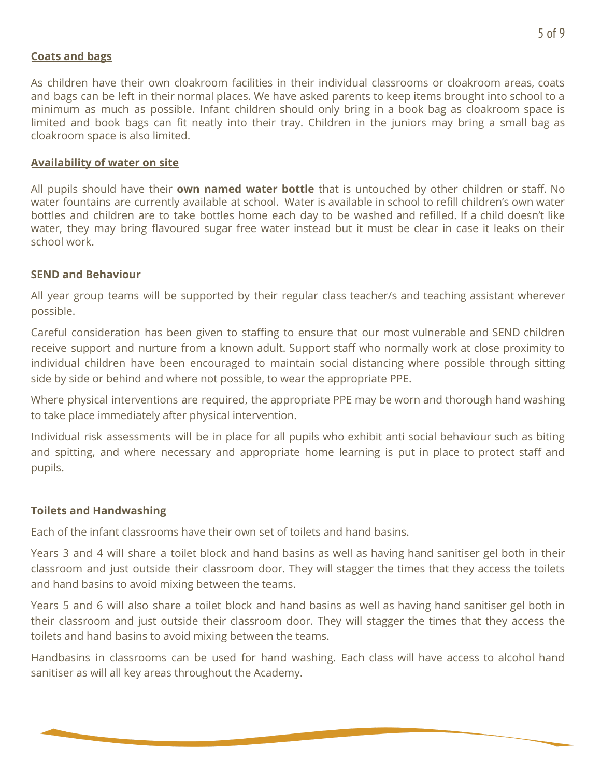#### **Coats and bags**

As children have their own cloakroom facilities in their individual classrooms or cloakroom areas, coats and bags can be left in their normal places. We have asked parents to keep items brought into school to a minimum as much as possible. Infant children should only bring in a book bag as cloakroom space is limited and book bags can fit neatly into their tray. Children in the juniors may bring a small bag as cloakroom space is also limited.

#### **Availability of water on site**

All pupils should have their **own named water bottle** that is untouched by other children or staff. No water fountains are currently available at school. Water is available in school to refill children's own water bottles and children are to take bottles home each day to be washed and refilled. If a child doesn't like water, they may bring flavoured sugar free water instead but it must be clear in case it leaks on their school work.

#### **SEND and Behaviour**

All year group teams will be supported by their regular class teacher/s and teaching assistant wherever possible.

Careful consideration has been given to staffing to ensure that our most vulnerable and SEND children receive support and nurture from a known adult. Support staff who normally work at close proximity to individual children have been encouraged to maintain social distancing where possible through sitting side by side or behind and where not possible, to wear the appropriate PPE.

Where physical interventions are required, the appropriate PPE may be worn and thorough hand washing to take place immediately after physical intervention.

Individual risk assessments will be in place for all pupils who exhibit anti social behaviour such as biting and spitting, and where necessary and appropriate home learning is put in place to protect staff and pupils.

#### **Toilets and Handwashing**

Each of the infant classrooms have their own set of toilets and hand basins.

Years 3 and 4 will share a toilet block and hand basins as well as having hand sanitiser gel both in their classroom and just outside their classroom door. They will stagger the times that they access the toilets and hand basins to avoid mixing between the teams.

Years 5 and 6 will also share a toilet block and hand basins as well as having hand sanitiser gel both in their classroom and just outside their classroom door. They will stagger the times that they access the toilets and hand basins to avoid mixing between the teams.

Handbasins in classrooms can be used for hand washing. Each class will have access to alcohol hand sanitiser as will all key areas throughout the Academy.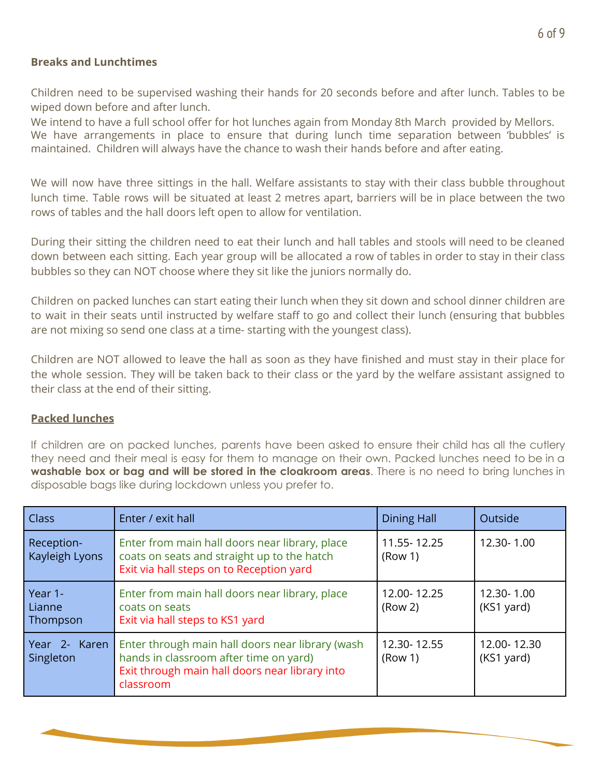#### **Breaks and Lunchtimes**

Children need to be supervised washing their hands for 20 seconds before and after lunch. Tables to be wiped down before and after lunch.

We intend to have a full school offer for hot lunches again from Monday 8th March provided by Mellors. We have arrangements in place to ensure that during lunch time separation between 'bubbles' is maintained. Children will always have the chance to wash their hands before and after eating.

We will now have three sittings in the hall. Welfare assistants to stay with their class bubble throughout lunch time. Table rows will be situated at least 2 metres apart, barriers will be in place between the two rows of tables and the hall doors left open to allow for ventilation.

During their sitting the children need to eat their lunch and hall tables and stools will need to be cleaned down between each sitting. Each year group will be allocated a row of tables in order to stay in their class bubbles so they can NOT choose where they sit like the juniors normally do.

Children on packed lunches can start eating their lunch when they sit down and school dinner children are to wait in their seats until instructed by welfare staff to go and collect their lunch (ensuring that bubbles are not mixing so send one class at a time- starting with the youngest class).

Children are NOT allowed to leave the hall as soon as they have finished and must stay in their place for the whole session. They will be taken back to their class or the yard by the welfare assistant assigned to their class at the end of their sitting.

#### **Packed lunches**

If children are on packed lunches, parents have been asked to ensure their child has all the cutlery they need and their meal is easy for them to manage on their own. Packed lunches need to be in a **washable box or bag and will be stored in the cloakroom areas**. There is no need to bring lunches in disposable bags like during lockdown unless you prefer to.

| <b>Class</b>                  | Enter / exit hall                                                                                                                                         | <b>Dining Hall</b>                 | Outside                   |
|-------------------------------|-----------------------------------------------------------------------------------------------------------------------------------------------------------|------------------------------------|---------------------------|
| Reception-<br>Kayleigh Lyons  | Enter from main hall doors near library, place<br>coats on seats and straight up to the hatch<br>Exit via hall steps on to Reception yard                 | 11.55-12.25<br>(Row 1)             | 12.30-1.00                |
| Year 1-<br>Lianne<br>Thompson | Enter from main hall doors near library, place<br>coats on seats<br>Exit via hall steps to KS1 yard                                                       | 12.00-12.25<br>(Row <sub>2</sub> ) | 12.30-1.00<br>(KS1 yard)  |
| Year 2- Karen<br>Singleton    | Enter through main hall doors near library (wash<br>hands in classroom after time on yard)<br>Exit through main hall doors near library into<br>classroom | 12.30-12.55<br>(Row 1)             | 12.00-12.30<br>(KS1 yard) |

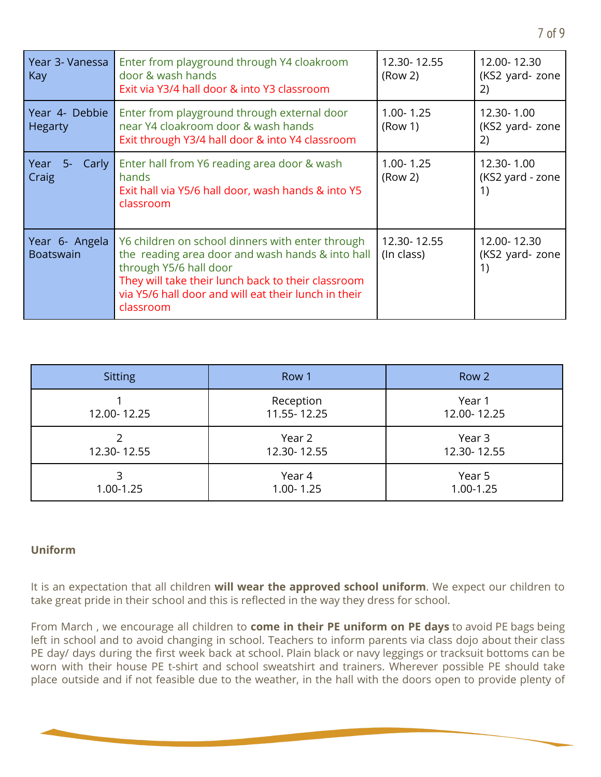| Year 3- Vanessa<br>Kay             | Enter from playground through Y4 cloakroom<br>door & wash hands<br>Exit via Y3/4 hall door & into Y3 classroom                                                                                                                                            | 12.30-12.55<br>(Row 2)               | 12.00-12.30<br>(KS2 yard- zone<br>2) |
|------------------------------------|-----------------------------------------------------------------------------------------------------------------------------------------------------------------------------------------------------------------------------------------------------------|--------------------------------------|--------------------------------------|
| Year 4- Debbie<br><b>Hegarty</b>   | Enter from playground through external door<br>near Y4 cloakroom door & wash hands<br>Exit through Y3/4 hall door & into Y4 classroom                                                                                                                     | $1.00 - 1.25$<br>(Row 1)             | 12.30-1.00<br>(KS2 yard- zone<br>2)  |
| Year<br>Carly  <br>$5-$<br>Craig   | Enter hall from Y6 reading area door & wash<br>hands<br>Exit hall via Y5/6 hall door, wash hands & into Y5<br>classroom                                                                                                                                   | $1.00 - 1.25$<br>(Row <sub>2</sub> ) | 12.30-1.00<br>(KS2 yard - zone<br>1) |
| Year 6- Angela<br><b>Boatswain</b> | Y6 children on school dinners with enter through<br>the reading area door and wash hands & into hall<br>through Y5/6 hall door<br>They will take their lunch back to their classroom<br>via Y5/6 hall door and will eat their lunch in their<br>classroom | 12.30-12.55<br>(In class)            | 12.00-12.30<br>(KS2 yard- zone<br>1) |

| <b>Sitting</b> | Row 1                    | Row 2                 |
|----------------|--------------------------|-----------------------|
| 12.00-12.25    | Reception<br>11.55-12.25 | Year 1<br>12.00-12.25 |
| 12.30-12.55    | Year 2<br>12.30-12.55    | Year 3<br>12.30-12.55 |
| 1.00-1.25      | Year 4<br>$1.00 - 1.25$  | Year 5<br>1.00-1.25   |

#### **Uniform**

It is an expectation that all children **will wear the approved school uniform**. We expect our children to take great pride in their school and this is reflected in the way they dress for school.

From March , we encourage all children to **come in their PE uniform on PE days** to avoid PE bags being left in school and to avoid changing in school. Teachers to inform parents via class dojo about their class PE day/ days during the first week back at school. Plain black or navy leggings or tracksuit bottoms can be worn with their house PE t-shirt and school sweatshirt and trainers. Wherever possible PE should take place outside and if not feasible due to the weather, in the hall with the doors open to provide plenty of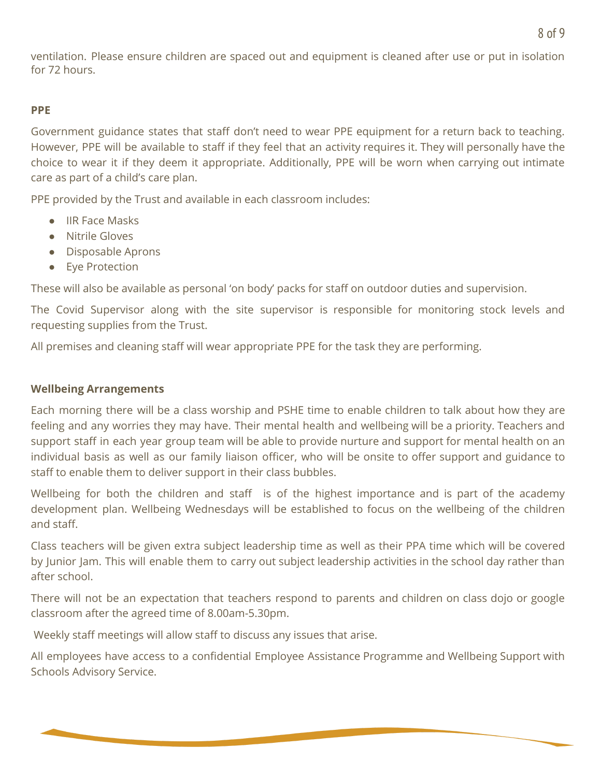ventilation. Please ensure children are spaced out and equipment is cleaned after use or put in isolation for 72 hours.

#### **PPE**

Government guidance states that staff don't need to wear PPE equipment for a return back to teaching. However, PPE will be available to staff if they feel that an activity requires it. They will personally have the choice to wear it if they deem it appropriate. Additionally, PPE will be worn when carrying out intimate care as part of a child's care plan.

PPE provided by the Trust and available in each classroom includes:

- IIR Face Masks
- Nitrile Gloves
- Disposable Aprons
- Eye Protection

These will also be available as personal 'on body' packs for staff on outdoor duties and supervision.

The Covid Supervisor along with the site supervisor is responsible for monitoring stock levels and requesting supplies from the Trust.

All premises and cleaning staff will wear appropriate PPE for the task they are performing.

#### **Wellbeing Arrangements**

Each morning there will be a class worship and PSHE time to enable children to talk about how they are feeling and any worries they may have. Their mental health and wellbeing will be a priority. Teachers and support staff in each year group team will be able to provide nurture and support for mental health on an individual basis as well as our family liaison officer, who will be onsite to offer support and guidance to staff to enable them to deliver support in their class bubbles.

Wellbeing for both the children and staff is of the highest importance and is part of the academy development plan. Wellbeing Wednesdays will be established to focus on the wellbeing of the children and staff.

Class teachers will be given extra subject leadership time as well as their PPA time which will be covered by Junior Jam. This will enable them to carry out subject leadership activities in the school day rather than after school.

There will not be an expectation that teachers respond to parents and children on class dojo or google classroom after the agreed time of 8.00am-5.30pm.

Weekly staff meetings will allow staff to discuss any issues that arise.

All employees have access to a confidential Employee Assistance Programme and Wellbeing Support with Schools Advisory Service.